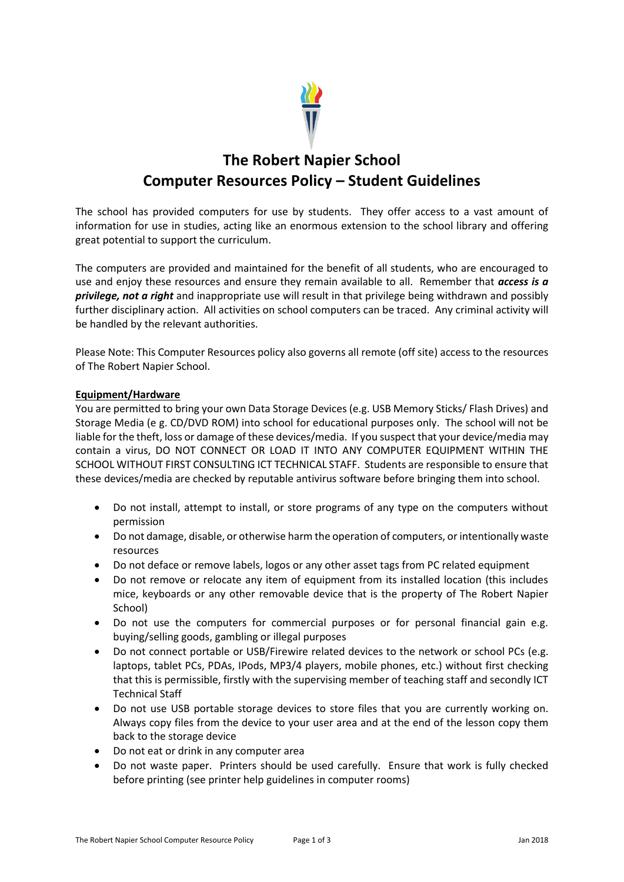

# **The Robert Napier School Computer Resources Policy – Student Guidelines**

The school has provided computers for use by students. They offer access to a vast amount of information for use in studies, acting like an enormous extension to the school library and offering great potential to support the curriculum.

The computers are provided and maintained for the benefit of all students, who are encouraged to use and enjoy these resources and ensure they remain available to all. Remember that *access is a privilege, not a right* and inappropriate use will result in that privilege being withdrawn and possibly further disciplinary action. All activities on school computers can be traced. Any criminal activity will be handled by the relevant authorities.

Please Note: This Computer Resources policy also governs all remote (off site) access to the resources of The Robert Napier School.

### **Equipment/Hardware**

You are permitted to bring your own Data Storage Devices (e.g. USB Memory Sticks/ Flash Drives) and Storage Media (e g. CD/DVD ROM) into school for educational purposes only. The school will not be liable for the theft, loss or damage of these devices/media. If you suspect that your device/media may contain a virus, DO NOT CONNECT OR LOAD IT INTO ANY COMPUTER EQUIPMENT WITHIN THE SCHOOL WITHOUT FIRST CONSULTING ICT TECHNICAL STAFF. Students are responsible to ensure that these devices/media are checked by reputable antivirus software before bringing them into school.

- Do not install, attempt to install, or store programs of any type on the computers without permission
- Do not damage, disable, or otherwise harm the operation of computers, or intentionally waste resources
- Do not deface or remove labels, logos or any other asset tags from PC related equipment
- Do not remove or relocate any item of equipment from its installed location (this includes mice, keyboards or any other removable device that is the property of The Robert Napier School)
- Do not use the computers for commercial purposes or for personal financial gain e.g. buying/selling goods, gambling or illegal purposes
- Do not connect portable or USB/Firewire related devices to the network or school PCs (e.g. laptops, tablet PCs, PDAs, IPods, MP3/4 players, mobile phones, etc.) without first checking that this is permissible, firstly with the supervising member of teaching staff and secondly ICT Technical Staff
- Do not use USB portable storage devices to store files that you are currently working on. Always copy files from the device to your user area and at the end of the lesson copy them back to the storage device
- Do not eat or drink in any computer area
- Do not waste paper. Printers should be used carefully. Ensure that work is fully checked before printing (see printer help guidelines in computer rooms)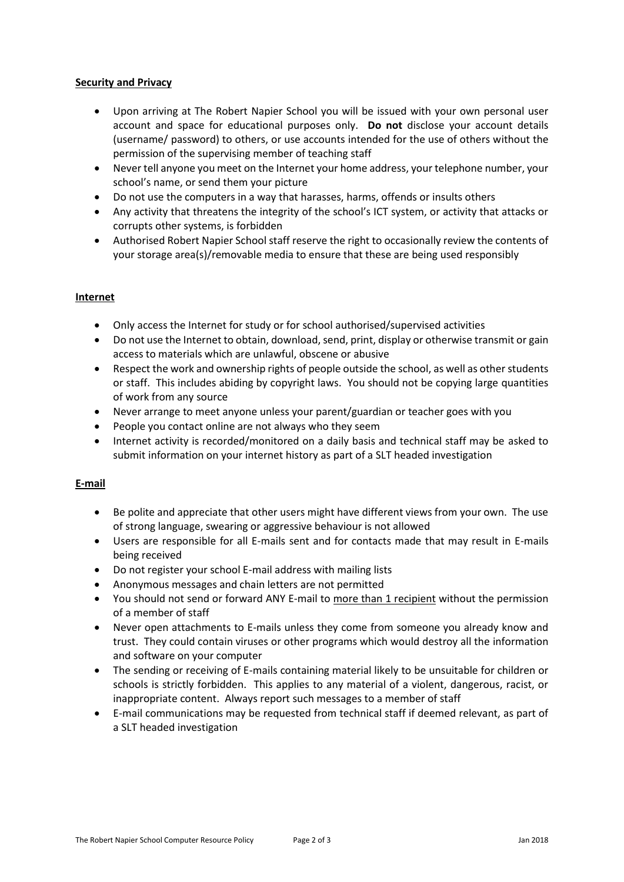#### **Security and Privacy**

- Upon arriving at The Robert Napier School you will be issued with your own personal user account and space for educational purposes only. **Do not** disclose your account details (username/ password) to others, or use accounts intended for the use of others without the permission of the supervising member of teaching staff
- Never tell anyone you meet on the Internet your home address, your telephone number, your school's name, or send them your picture
- Do not use the computers in a way that harasses, harms, offends or insults others
- Any activity that threatens the integrity of the school's ICT system, or activity that attacks or corrupts other systems, is forbidden
- Authorised Robert Napier School staff reserve the right to occasionally review the contents of your storage area(s)/removable media to ensure that these are being used responsibly

### **Internet**

- Only access the Internet for study or for school authorised/supervised activities
- Do not use the Internet to obtain, download, send, print, display or otherwise transmit or gain access to materials which are unlawful, obscene or abusive
- Respect the work and ownership rights of people outside the school, as well as other students or staff. This includes abiding by copyright laws. You should not be copying large quantities of work from any source
- Never arrange to meet anyone unless your parent/guardian or teacher goes with you
- People you contact online are not always who they seem
- Internet activity is recorded/monitored on a daily basis and technical staff may be asked to submit information on your internet history as part of a SLT headed investigation

## **E-mail**

- Be polite and appreciate that other users might have different views from your own. The use of strong language, swearing or aggressive behaviour is not allowed
- Users are responsible for all E-mails sent and for contacts made that may result in E-mails being received
- Do not register your school E-mail address with mailing lists
- Anonymous messages and chain letters are not permitted
- You should not send or forward ANY E-mail to more than 1 recipient without the permission of a member of staff
- Never open attachments to E-mails unless they come from someone you already know and trust. They could contain viruses or other programs which would destroy all the information and software on your computer
- The sending or receiving of E-mails containing material likely to be unsuitable for children or schools is strictly forbidden. This applies to any material of a violent, dangerous, racist, or inappropriate content. Always report such messages to a member of staff
- E-mail communications may be requested from technical staff if deemed relevant, as part of a SLT headed investigation